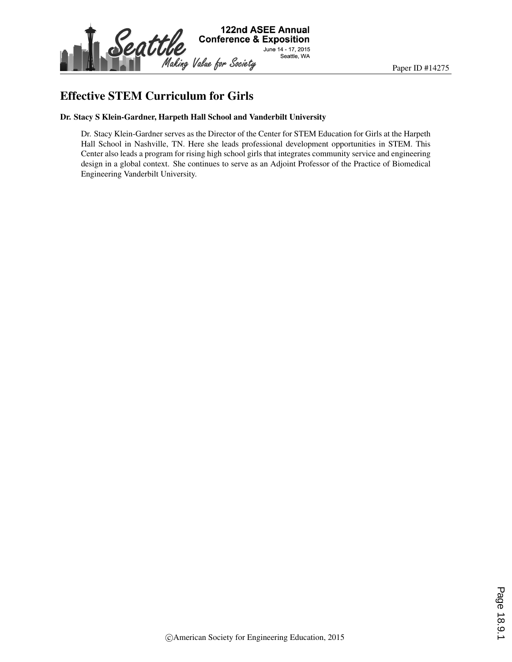

### Effective STEM Curriculum for Girls

#### Dr. Stacy S Klein-Gardner, Harpeth Hall School and Vanderbilt University

Dr. Stacy Klein-Gardner serves as the Director of the Center for STEM Education for Girls at the Harpeth Hall School in Nashville, TN. Here she leads professional development opportunities in STEM. This Center also leads a program for rising high school girls that integrates community service and engineering design in a global context. She continues to serve as an Adjoint Professor of the Practice of Biomedical Engineering Vanderbilt University.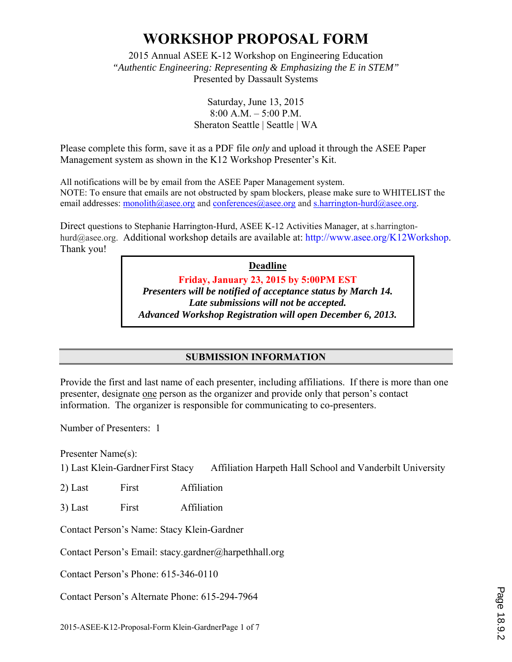2015 Annual ASEE K-12 Workshop on Engineering Education *"Authentic Engineering: Representing & Emphasizing the E in STEM"*  Presented by Dassault Systems

> Saturday, June 13, 2015 8:00 A.M. – 5:00 P.M. Sheraton Seattle | Seattle | WA

Please complete this form, save it as a PDF file *only* and upload it through the ASEE Paper Management system as shown in the K12 Workshop Presenter's Kit.

All notifications will be by email from the ASEE Paper Management system. NOTE: To ensure that emails are not obstructed by spam blockers, please make sure to WHITELIST the email addresses: monolith@asee.org and conferences@asee.org and s.harrington-hurd@asee.org.

Direct questions to Stephanie Harrington-Hurd, ASEE K-12 Activities Manager, at s.harringtonhurd@asee.org. Additional workshop details are available at: http://www.asee.org/K12Workshop. Thank you!

> **Deadline Friday, January 23, 2015 by 5:00PM EST**  *Presenters will be notified of acceptance status by March 14. Late submissions will not be accepted. Advanced Workshop Registration will open December 6, 2013.*

> > **SUBMISSION INFORMATION**

Provide the first and last name of each presenter, including affiliations. If there is more than one presenter, designate one person as the organizer and provide only that person's contact information. The organizer is responsible for communicating to co-presenters.

Number of Presenters: 1

Presenter Name(s):

1) Last Klein-Gardner First Stacy Affiliation Harpeth Hall School and Vanderbilt University

2) Last First Affiliation

3) Last First Affiliation

Contact Person's Name: Stacy Klein-Gardner

Contact Person's Email: stacy.gardner@harpethhall.org

Contact Person's Phone: 615-346-0110

Contact Person's Alternate Phone: 615-294-7964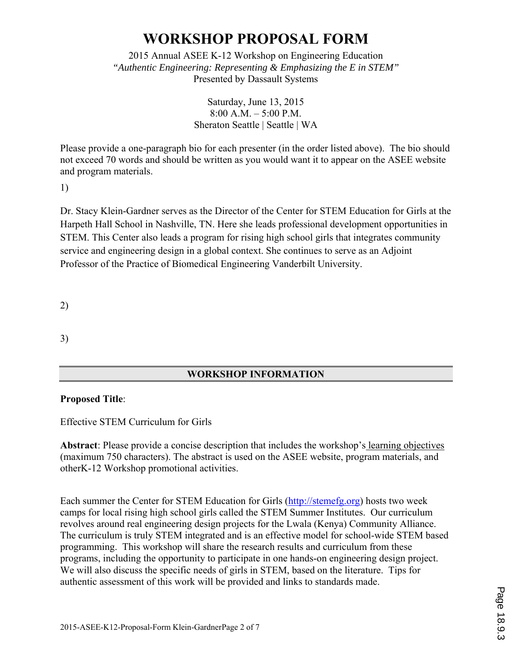2015 Annual ASEE K-12 Workshop on Engineering Education *"Authentic Engineering: Representing & Emphasizing the E in STEM"*  Presented by Dassault Systems

#### Saturday, June 13, 2015 8:00 A.M. – 5:00 P.M. Sheraton Seattle | Seattle | WA

Please provide a one-paragraph bio for each presenter (in the order listed above). The bio should not exceed 70 words and should be written as you would want it to appear on the ASEE website and program materials.

1)

Dr. Stacy Klein-Gardner serves as the Director of the Center for STEM Education for Girls at the Harpeth Hall School in Nashville, TN. Here she leads professional development opportunities in STEM. This Center also leads a program for rising high school girls that integrates community service and engineering design in a global context. She continues to serve as an Adjoint Professor of the Practice of Biomedical Engineering Vanderbilt University.

2)

3)

### **WORKSHOP INFORMATION**

#### **Proposed Title**:

Effective STEM Curriculum for Girls

**Abstract**: Please provide a concise description that includes the workshop's learning objectives (maximum 750 characters). The abstract is used on the ASEE website, program materials, and otherK-12 Workshop promotional activities.

Each summer the Center for STEM Education for Girls (http://stemefg.org) hosts two week camps for local rising high school girls called the STEM Summer Institutes. Our curriculum revolves around real engineering design projects for the Lwala (Kenya) Community Alliance. The curriculum is truly STEM integrated and is an effective model for school-wide STEM based programming. This workshop will share the research results and curriculum from these programs, including the opportunity to participate in one hands-on engineering design project. We will also discuss the specific needs of girls in STEM, based on the literature. Tips for authentic assessment of this work will be provided and links to standards made.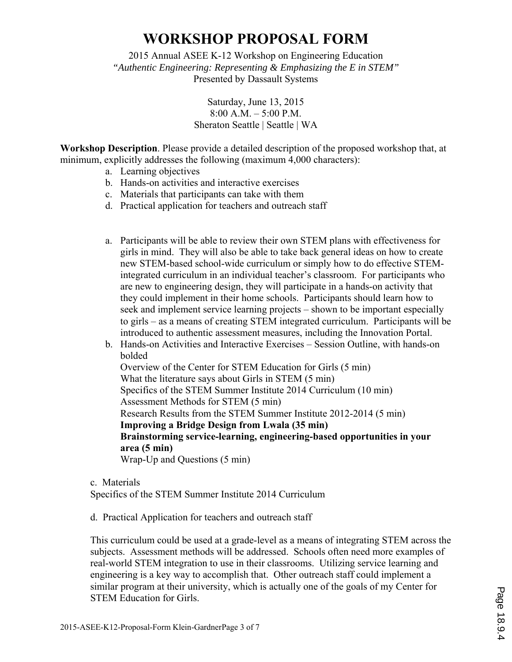2015 Annual ASEE K-12 Workshop on Engineering Education *"Authentic Engineering: Representing & Emphasizing the E in STEM"*  Presented by Dassault Systems

> Saturday, June 13, 2015 8:00 A.M. – 5:00 P.M. Sheraton Seattle | Seattle | WA

**Workshop Description**. Please provide a detailed description of the proposed workshop that, at minimum, explicitly addresses the following (maximum 4,000 characters):

- a. Learning objectives
- b. Hands-on activities and interactive exercises
- c. Materials that participants can take with them
- d. Practical application for teachers and outreach staff
- a. Participants will be able to review their own STEM plans with effectiveness for girls in mind. They will also be able to take back general ideas on how to create new STEM-based school-wide curriculum or simply how to do effective STEMintegrated curriculum in an individual teacher's classroom. For participants who are new to engineering design, they will participate in a hands-on activity that they could implement in their home schools. Participants should learn how to seek and implement service learning projects – shown to be important especially to girls – as a means of creating STEM integrated curriculum. Participants will be introduced to authentic assessment measures, including the Innovation Portal.
- b. Hands-on Activities and Interactive Exercises Session Outline, with hands-on bolded Overview of the Center for STEM Education for Girls (5 min) What the literature says about Girls in STEM (5 min) Specifics of the STEM Summer Institute 2014 Curriculum (10 min) Assessment Methods for STEM (5 min) Research Results from the STEM Summer Institute 2012-2014 (5 min) **Improving a Bridge Design from Lwala (35 min) Brainstorming service-learning, engineering-based opportunities in your area (5 min)**  Wrap-Up and Questions (5 min)

c. Materials Specifics of the STEM Summer Institute 2014 Curriculum

d. Practical Application for teachers and outreach staff

This curriculum could be used at a grade-level as a means of integrating STEM across the subjects. Assessment methods will be addressed. Schools often need more examples of real-world STEM integration to use in their classrooms. Utilizing service learning and engineering is a key way to accomplish that. Other outreach staff could implement a similar program at their university, which is actually one of the goals of my Center for STEM Education for Girls.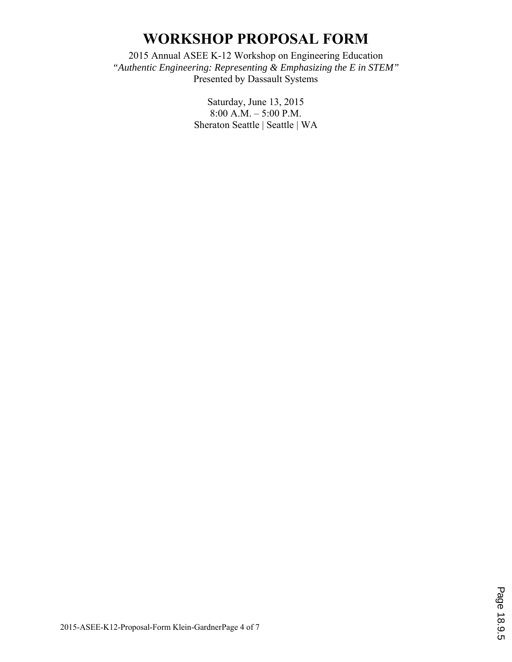2015 Annual ASEE K-12 Workshop on Engineering Education *"Authentic Engineering: Representing & Emphasizing the E in STEM"*  Presented by Dassault Systems

> Saturday, June 13, 2015 8:00 A.M. – 5:00 P.M. Sheraton Seattle | Seattle | WA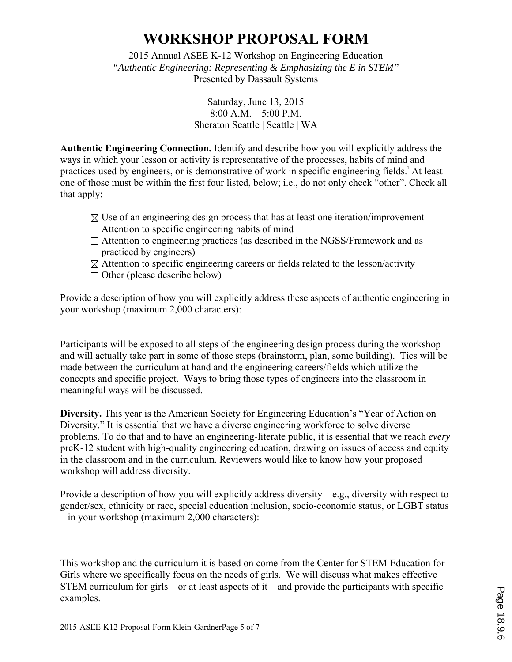2015 Annual ASEE K-12 Workshop on Engineering Education *"Authentic Engineering: Representing & Emphasizing the E in STEM"*  Presented by Dassault Systems

> Saturday, June 13, 2015 8:00 A.M. – 5:00 P.M. Sheraton Seattle | Seattle | WA

**Authentic Engineering Connection.** Identify and describe how you will explicitly address the ways in which your lesson or activity is representative of the processes, habits of mind and practices used by engineers, or is demonstrative of work in specific engineering fields.<sup>i</sup> At least one of those must be within the first four listed, below; i.e., do not only check "other". Check all that apply:

- $\boxtimes$  Use of an engineering design process that has at least one iteration/improvement
- $\Box$  Attention to specific engineering habits of mind
- Attention to engineering practices (as described in the NGSS/Framework and as practiced by engineers)
- $\boxtimes$  Attention to specific engineering careers or fields related to the lesson/activity
- $\Box$  Other (please describe below)

Provide a description of how you will explicitly address these aspects of authentic engineering in your workshop (maximum 2,000 characters):

Participants will be exposed to all steps of the engineering design process during the workshop and will actually take part in some of those steps (brainstorm, plan, some building). Ties will be made between the curriculum at hand and the engineering careers/fields which utilize the concepts and specific project. Ways to bring those types of engineers into the classroom in meaningful ways will be discussed.

**Diversity.** This year is the American Society for Engineering Education's "Year of Action on Diversity." It is essential that we have a diverse engineering workforce to solve diverse problems. To do that and to have an engineering-literate public, it is essential that we reach *every* preK-12 student with high-quality engineering education, drawing on issues of access and equity in the classroom and in the curriculum. Reviewers would like to know how your proposed workshop will address diversity.

Provide a description of how you will explicitly address diversity – e.g., diversity with respect to gender/sex, ethnicity or race, special education inclusion, socio-economic status, or LGBT status – in your workshop (maximum 2,000 characters):

This workshop and the curriculum it is based on come from the Center for STEM Education for Girls where we specifically focus on the needs of girls. We will discuss what makes effective STEM curriculum for girls – or at least aspects of it – and provide the participants with specific examples.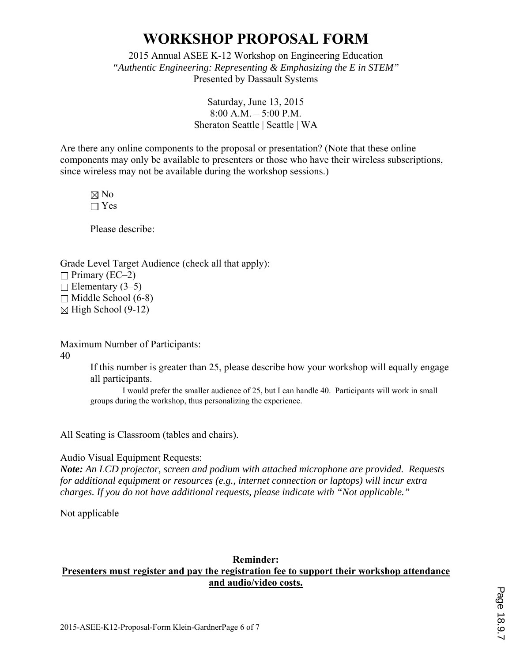2015 Annual ASEE K-12 Workshop on Engineering Education *"Authentic Engineering: Representing & Emphasizing the E in STEM"*  Presented by Dassault Systems

> Saturday, June 13, 2015 8:00 A.M. – 5:00 P.M. Sheraton Seattle | Seattle | WA

Are there any online components to the proposal or presentation? (Note that these online components may only be available to presenters or those who have their wireless subscriptions, since wireless may not be available during the workshop sessions.)

 $\boxtimes$  No  $\Box$  Yes

Please describe:

Grade Level Target Audience (check all that apply):  $\Box$  Primary (EC–2)  $\Box$  Elementary (3–5)  $\Box$  Middle School (6-8)  $\boxtimes$  High School (9-12)

Maximum Number of Participants:

40

If this number is greater than 25, please describe how your workshop will equally engage all participants.

 I would prefer the smaller audience of 25, but I can handle 40. Participants will work in small groups during the workshop, thus personalizing the experience.

All Seating is Classroom (tables and chairs).

Audio Visual Equipment Requests:

*Note: An LCD projector, screen and podium with attached microphone are provided. Requests for additional equipment or resources (e.g., internet connection or laptops) will incur extra charges. If you do not have additional requests, please indicate with "Not applicable."* 

Not applicable

#### **Reminder: Presenters must register and pay the registration fee to support their workshop attendance and audio/video costs.**

Page 18.9.7 Page 18.9.7